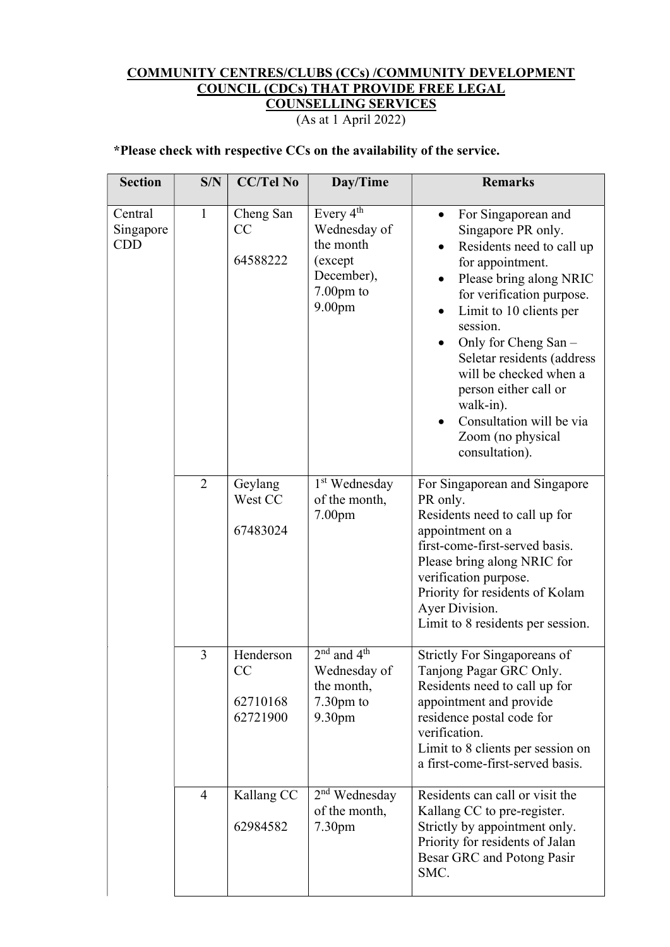## COMMUNITY CENTRES/CLUBS (CCs) /COMMUNITY DEVELOPMENT COUNCIL (CDCs) THAT PROVIDE FREE LEGAL COUNSELLING SERVICES

(As at 1 April 2022)

## \*Please check with respective CCs on the availability of the service.

| <b>Section</b>                     | S/N            | <b>CC/Tel No</b>                        | Day/Time                                                                                                         | <b>Remarks</b>                                                                                                                                                                                                                                                                                                                                                                                                    |
|------------------------------------|----------------|-----------------------------------------|------------------------------------------------------------------------------------------------------------------|-------------------------------------------------------------------------------------------------------------------------------------------------------------------------------------------------------------------------------------------------------------------------------------------------------------------------------------------------------------------------------------------------------------------|
| Central<br>Singapore<br><b>CDD</b> | $\mathbf{1}$   | Cheng San<br>CC<br>64588222             | Every 4 <sup>th</sup><br>Wednesday of<br>the month<br>(except<br>December),<br>$7.00pm$ to<br>9.00 <sub>pm</sub> | For Singaporean and<br>$\bullet$<br>Singapore PR only.<br>Residents need to call up<br>for appointment.<br>Please bring along NRIC<br>for verification purpose.<br>Limit to 10 clients per<br>$\bullet$<br>session.<br>Only for Cheng San -<br>٠<br>Seletar residents (address<br>will be checked when a<br>person either call or<br>walk-in).<br>Consultation will be via<br>Zoom (no physical<br>consultation). |
|                                    | 2              | Geylang<br>West CC<br>67483024          | 1 <sup>st</sup> Wednesday<br>of the month,<br>7.00 <sub>pm</sub>                                                 | For Singaporean and Singapore<br>PR only.<br>Residents need to call up for<br>appointment on a<br>first-come-first-served basis.<br>Please bring along NRIC for<br>verification purpose.<br>Priority for residents of Kolam<br>Ayer Division.<br>Limit to 8 residents per session.                                                                                                                                |
|                                    | 3              | Henderson<br>CC<br>62710168<br>62721900 | $2nd$ and $4th$<br>Wednesday of<br>the month,<br>$7.30pm$ to<br>9.30pm                                           | Strictly For Singaporeans of<br>Tanjong Pagar GRC Only.<br>Residents need to call up for<br>appointment and provide<br>residence postal code for<br>verification.<br>Limit to 8 clients per session on<br>a first-come-first-served basis.                                                                                                                                                                        |
|                                    | $\overline{4}$ | Kallang CC<br>62984582                  | $2nd$ Wednesday<br>of the month,<br>7.30 <sub>pm</sub>                                                           | Residents can call or visit the<br>Kallang CC to pre-register.<br>Strictly by appointment only.<br>Priority for residents of Jalan<br>Besar GRC and Potong Pasir<br>SMC.                                                                                                                                                                                                                                          |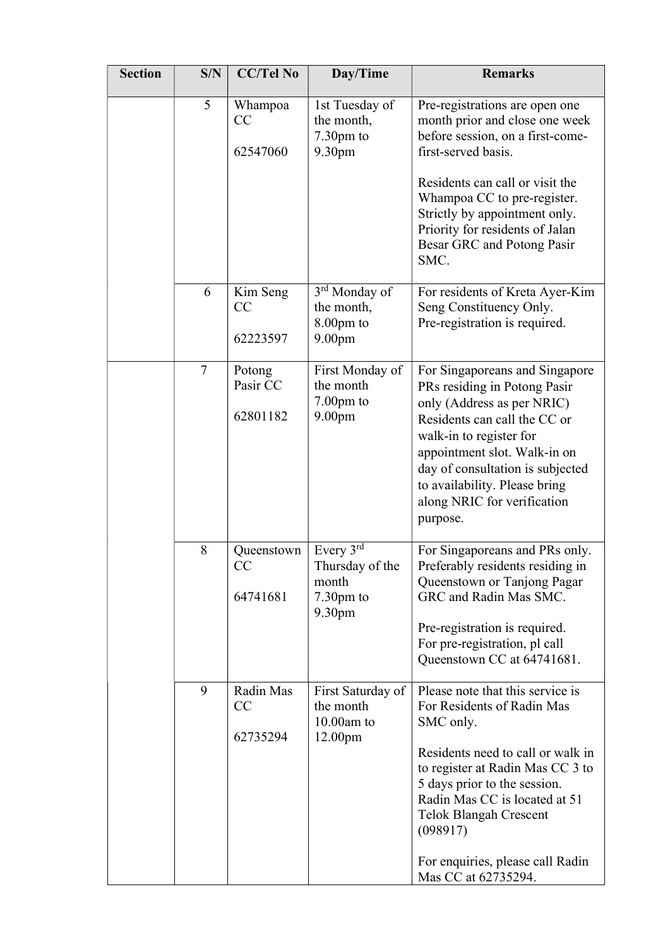| <b>Section</b> | S/N            | <b>CC/Tel No</b>               | Day/Time                                                                     | <b>Remarks</b>                                                                                                                                                                                                                                                                                                                |
|----------------|----------------|--------------------------------|------------------------------------------------------------------------------|-------------------------------------------------------------------------------------------------------------------------------------------------------------------------------------------------------------------------------------------------------------------------------------------------------------------------------|
|                | 5              | Whampoa<br>CC<br>62547060      | 1st Tuesday of<br>the month,<br>$7.30pm$ to<br>9.30pm                        | Pre-registrations are open one<br>month prior and close one week<br>before session, on a first-come-<br>first-served basis.<br>Residents can call or visit the<br>Whampoa CC to pre-register.<br>Strictly by appointment only.<br>Priority for residents of Jalan<br>Besar GRC and Potong Pasir<br>SMC.                       |
|                | 6              | Kim Seng<br>CC<br>62223597     | 3 <sup>rd</sup> Monday of<br>the month,<br>$8.00pm$ to<br>9.00 <sub>pm</sub> | For residents of Kreta Ayer-Kim<br>Seng Constituency Only.<br>Pre-registration is required.                                                                                                                                                                                                                                   |
|                | $\overline{7}$ | Potong<br>Pasir CC<br>62801182 | First Monday of<br>the month<br>$7.00pm$ to<br>9.00 <sub>pm</sub>            | For Singaporeans and Singapore<br>PRs residing in Potong Pasir<br>only (Address as per NRIC)<br>Residents can call the CC or<br>walk-in to register for<br>appointment slot. Walk-in on<br>day of consultation is subjected<br>to availability. Please bring<br>along NRIC for verification<br>purpose.                       |
|                | 8              | Queenstown<br>CC<br>64741681   | Every $3rd$<br>Thursday of the<br>month<br>7.30pm to<br>9.30 <sub>pm</sub>   | For Singaporeans and PRs only.<br>Preferably residents residing in<br>Queenstown or Tanjong Pagar<br>GRC and Radin Mas SMC.<br>Pre-registration is required.<br>For pre-registration, pl call<br>Queenstown CC at 64741681.                                                                                                   |
|                | 9              | Radin Mas<br>CC<br>62735294    | First Saturday of<br>the month<br>$10.00$ am to<br>12.00 <sub>pm</sub>       | Please note that this service is<br>For Residents of Radin Mas<br>SMC only.<br>Residents need to call or walk in<br>to register at Radin Mas CC 3 to<br>5 days prior to the session.<br>Radin Mas CC is located at 51<br><b>Telok Blangah Crescent</b><br>(098917)<br>For enquiries, please call Radin<br>Mas CC at 62735294. |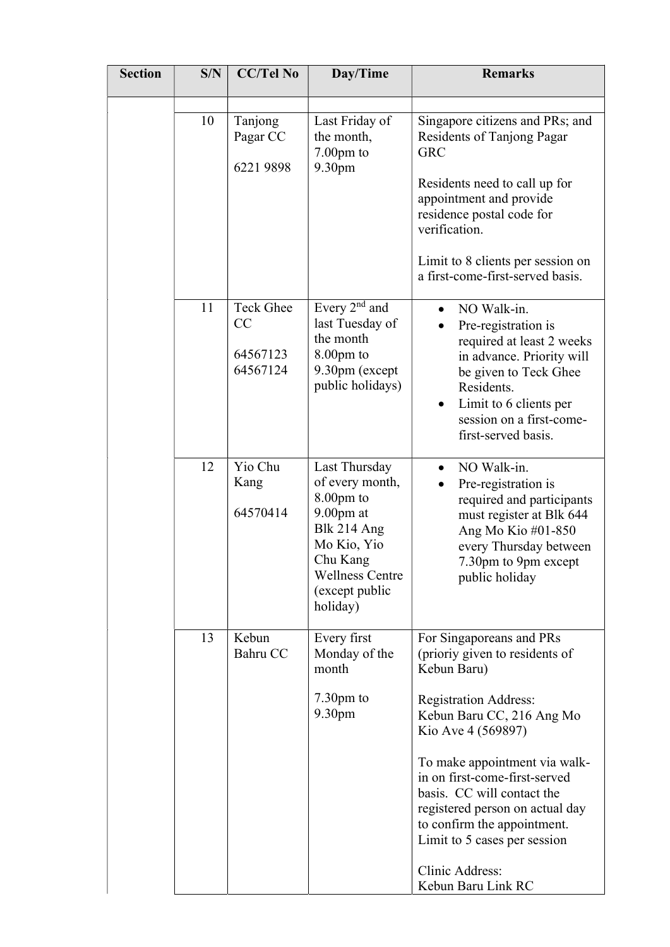| <b>Section</b> | S/N | <b>CC/Tel No</b>                               | Day/Time                                                                                                                                                        | <b>Remarks</b>                                                                                                                                                                                                                                                                                                                                                                                          |
|----------------|-----|------------------------------------------------|-----------------------------------------------------------------------------------------------------------------------------------------------------------------|---------------------------------------------------------------------------------------------------------------------------------------------------------------------------------------------------------------------------------------------------------------------------------------------------------------------------------------------------------------------------------------------------------|
|                | 10  | Tanjong<br>Pagar CC<br>6221 9898               | Last Friday of<br>the month,<br>$7.00pm$ to<br>9.30 <sub>pm</sub>                                                                                               | Singapore citizens and PRs; and<br>Residents of Tanjong Pagar<br><b>GRC</b><br>Residents need to call up for<br>appointment and provide<br>residence postal code for<br>verification.<br>Limit to 8 clients per session on<br>a first-come-first-served basis.                                                                                                                                          |
|                | 11  | <b>Teck Ghee</b><br>CC<br>64567123<br>64567124 | Every $2nd$ and<br>last Tuesday of<br>the month<br>$8.00pm$ to<br>9.30pm (except<br>public holidays)                                                            | NO Walk-in.<br>Pre-registration is<br>required at least 2 weeks<br>in advance. Priority will<br>be given to Teck Ghee<br>Residents.<br>Limit to 6 clients per<br>session on a first-come-<br>first-served basis.                                                                                                                                                                                        |
|                | 12  | Yio Chu<br>Kang<br>64570414                    | Last Thursday<br>of every month,<br>8.00pm to<br>$9.00$ pm at<br>Blk 214 Ang<br>Mo Kio, Yio<br>Chu Kang<br><b>Wellness Centre</b><br>(except public<br>holiday) | NO Walk-in.<br>$\bullet$<br>Pre-registration is<br>required and participants<br>must register at Blk 644<br>Ang Mo Kio #01-850<br>every Thursday between<br>7.30pm to 9pm except<br>public holiday                                                                                                                                                                                                      |
|                | 13  | Kebun<br>Bahru CC                              | Every first<br>Monday of the<br>month<br>$7.30pm$ to<br>9.30 <sub>pm</sub>                                                                                      | For Singaporeans and PRs<br>(prioriy given to residents of<br>Kebun Baru)<br><b>Registration Address:</b><br>Kebun Baru CC, 216 Ang Mo<br>Kio Ave 4 (569897)<br>To make appointment via walk-<br>in on first-come-first-served<br>basis. CC will contact the<br>registered person on actual day<br>to confirm the appointment.<br>Limit to 5 cases per session<br>Clinic Address:<br>Kebun Baru Link RC |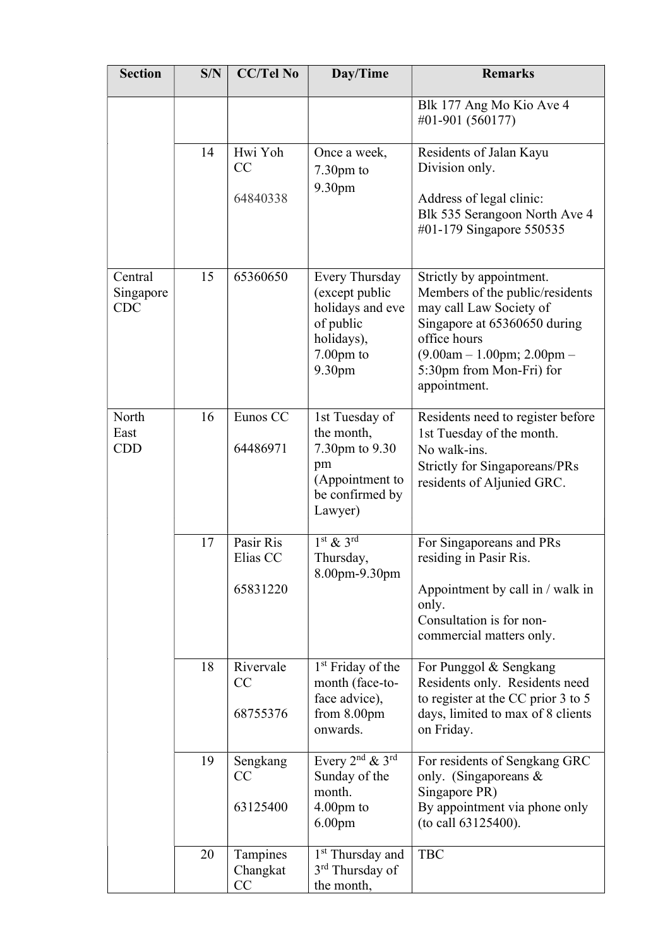| <b>Section</b>                     | S/N | <b>CC/Tel No</b>                  | Day/Time                                                                                                  | <b>Remarks</b>                                                                                                                                                                                                     |
|------------------------------------|-----|-----------------------------------|-----------------------------------------------------------------------------------------------------------|--------------------------------------------------------------------------------------------------------------------------------------------------------------------------------------------------------------------|
|                                    |     |                                   |                                                                                                           | Blk 177 Ang Mo Kio Ave 4<br>#01-901 (560177)                                                                                                                                                                       |
|                                    | 14  | Hwi Yoh<br>CC                     | Once a week,<br>$7.30pm$ to                                                                               | Residents of Jalan Kayu<br>Division only.                                                                                                                                                                          |
|                                    |     | 64840338                          | 9.30pm                                                                                                    | Address of legal clinic:<br>Blk 535 Serangoon North Ave 4<br>#01-179 Singapore 550535                                                                                                                              |
| Central<br>Singapore<br><b>CDC</b> | 15  | 65360650                          | Every Thursday<br>(except public<br>holidays and eve<br>of public<br>holidays),<br>$7.00$ pm to<br>9.30pm | Strictly by appointment.<br>Members of the public/residents<br>may call Law Society of<br>Singapore at 65360650 during<br>office hours<br>$(9.00am - 1.00pm; 2.00pm -$<br>5:30pm from Mon-Fri) for<br>appointment. |
| North<br>East<br><b>CDD</b>        | 16  | Eunos CC<br>64486971              | 1st Tuesday of<br>the month,<br>7.30pm to 9.30<br>pm<br>(Appointment to<br>be confirmed by<br>Lawyer)     | Residents need to register before<br>1st Tuesday of the month.<br>No walk-ins.<br><b>Strictly for Singaporeans/PRs</b><br>residents of Aljunied GRC.                                                               |
|                                    | 17  | Pasir Ris<br>Elias CC<br>65831220 | $1st$ & $3rd$<br>Thursday,<br>8.00pm-9.30pm                                                               | For Singaporeans and PRs<br>residing in Pasir Ris.<br>Appointment by call in / walk in                                                                                                                             |
|                                    |     |                                   |                                                                                                           | only.<br>Consultation is for non-<br>commercial matters only.                                                                                                                                                      |
|                                    | 18  | Rivervale<br>CC<br>68755376       | 1 <sup>st</sup> Friday of the<br>month (face-to-<br>face advice),<br>from $8.00$ pm                       | For Punggol & Sengkang<br>Residents only. Residents need<br>to register at the CC prior 3 to 5<br>days, limited to max of 8 clients                                                                                |
|                                    |     |                                   | onwards.                                                                                                  | on Friday.                                                                                                                                                                                                         |
|                                    | 19  | Sengkang<br>CC                    | Every $2^{nd}$ & $3^{rd}$<br>Sunday of the<br>month.                                                      | For residents of Sengkang GRC<br>only. (Singaporeans $\&$<br>Singapore PR)                                                                                                                                         |
|                                    |     | 63125400                          | $4.00 \text{pm}$ to<br>6.00 <sub>pm</sub>                                                                 | By appointment via phone only<br>(to call 63125400).                                                                                                                                                               |
|                                    | 20  | Tampines<br>Changkat<br>CC        | 1 <sup>st</sup> Thursday and<br>$3rd$ Thursday of<br>the month,                                           | <b>TBC</b>                                                                                                                                                                                                         |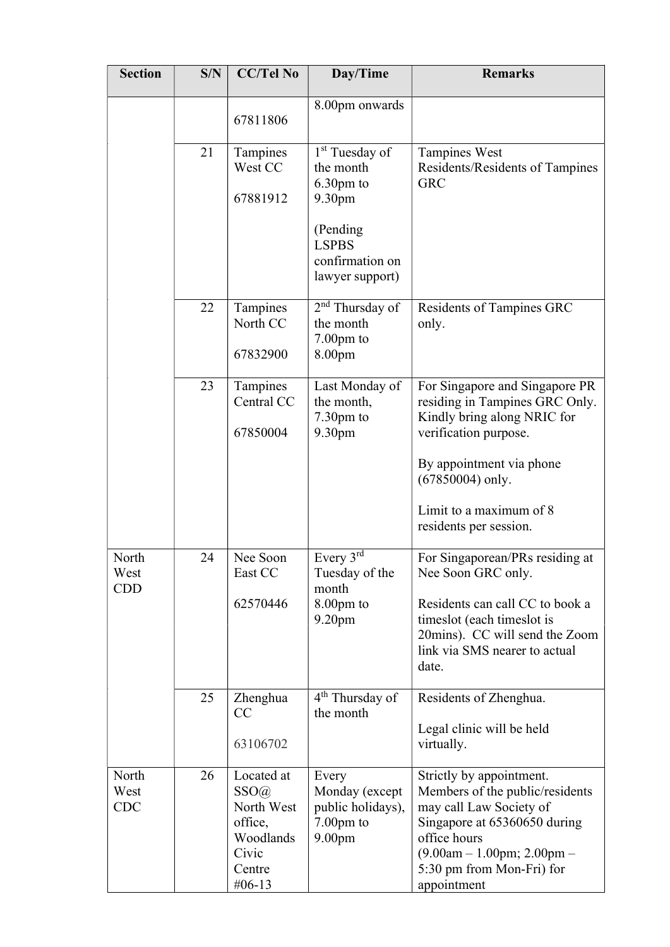| <b>Section</b>              | S/N | <b>CC/Tel No</b>                                                                          | Day/Time                                                                        | <b>Remarks</b>                                                                                                                                                                                                     |
|-----------------------------|-----|-------------------------------------------------------------------------------------------|---------------------------------------------------------------------------------|--------------------------------------------------------------------------------------------------------------------------------------------------------------------------------------------------------------------|
|                             |     | 67811806                                                                                  | 8.00pm onwards                                                                  |                                                                                                                                                                                                                    |
|                             | 21  | Tampines<br>West CC<br>67881912                                                           | 1 <sup>st</sup> Tuesday of<br>the month<br>$6.30$ pm to<br>9.30 <sub>pm</sub>   | <b>Tampines West</b><br>Residents/Residents of Tampines<br><b>GRC</b>                                                                                                                                              |
|                             |     |                                                                                           | (Pending)<br><b>LSPBS</b><br>confirmation on<br>lawyer support)                 |                                                                                                                                                                                                                    |
|                             | 22  | Tampines<br>North CC<br>67832900                                                          | $2nd$ Thursday of<br>the month<br>$7.00pm$ to<br>8.00pm                         | <b>Residents of Tampines GRC</b><br>only.                                                                                                                                                                          |
|                             | 23  | Tampines<br>Central CC<br>67850004                                                        | Last Monday of<br>the month,<br>$7.30pm$ to<br>9.30pm                           | For Singapore and Singapore PR<br>residing in Tampines GRC Only.<br>Kindly bring along NRIC for<br>verification purpose.                                                                                           |
|                             |     |                                                                                           |                                                                                 | By appointment via phone<br>$(67850004)$ only.                                                                                                                                                                     |
|                             |     |                                                                                           |                                                                                 | Limit to a maximum of 8<br>residents per session.                                                                                                                                                                  |
| North<br>West<br>CDD        | 24  | Nee Soon<br>East CC                                                                       | Every 3rd<br>Tuesday of the<br>month                                            | For Singaporean/PRs residing at<br>Nee Soon GRC only.                                                                                                                                                              |
|                             |     | 62570446                                                                                  | $8.00pm$ to<br>9.20 <sub>pm</sub>                                               | Residents can call CC to book a<br>times lot (each times lot is<br>20mins). CC will send the Zoom<br>link via SMS nearer to actual<br>date.                                                                        |
|                             | 25  | Zhenghua<br>CC                                                                            | $4th$ Thursday of<br>the month                                                  | Residents of Zhenghua.<br>Legal clinic will be held                                                                                                                                                                |
|                             |     | 63106702                                                                                  |                                                                                 | virtually.                                                                                                                                                                                                         |
| North<br>West<br><b>CDC</b> | 26  | Located at<br>SSO(a)<br>North West<br>office,<br>Woodlands<br>Civic<br>Centre<br>$#06-13$ | Every<br>Monday (except<br>public holidays),<br>7.00pm to<br>9.00 <sub>pm</sub> | Strictly by appointment.<br>Members of the public/residents<br>may call Law Society of<br>Singapore at 65360650 during<br>office hours<br>$(9.00am - 1.00pm; 2.00pm -$<br>5:30 pm from Mon-Fri) for<br>appointment |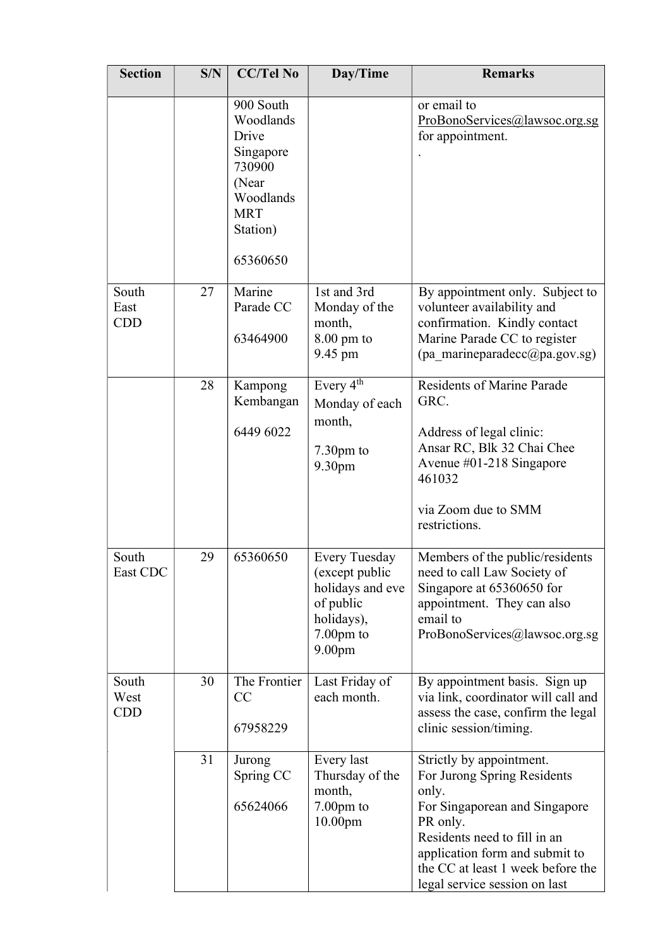| <b>Section</b>              | S/N | <b>CC/Tel No</b>                                                                                                   | Day/Time                                                                                                                   | <b>Remarks</b>                                                                                                                                                                                                                                        |
|-----------------------------|-----|--------------------------------------------------------------------------------------------------------------------|----------------------------------------------------------------------------------------------------------------------------|-------------------------------------------------------------------------------------------------------------------------------------------------------------------------------------------------------------------------------------------------------|
|                             |     | 900 South<br>Woodlands<br>Drive<br>Singapore<br>730900<br>(Near<br>Woodlands<br><b>MRT</b><br>Station)<br>65360650 |                                                                                                                            | or email to<br>ProBonoServices@lawsoc.org.sg<br>for appointment.                                                                                                                                                                                      |
| South<br>East<br><b>CDD</b> | 27  | Marine<br>Parade CC<br>63464900                                                                                    | 1st and 3rd<br>Monday of the<br>month,<br>$8.00$ pm to<br>9.45 pm                                                          | By appointment only. Subject to<br>volunteer availability and<br>confirmation. Kindly contact<br>Marine Parade CC to register<br>(pa marineparadecc@pa.gov.sg)                                                                                        |
|                             | 28  | Kampong<br>Kembangan<br>6449 6022                                                                                  | Every 4 <sup>th</sup><br>Monday of each<br>month,<br>$7.30pm$ to<br>9.30pm                                                 | <b>Residents of Marine Parade</b><br>GRC.<br>Address of legal clinic:<br>Ansar RC, Blk 32 Chai Chee<br>Avenue $\#01-218$ Singapore<br>461032<br>via Zoom due to SMM<br>restrictions.                                                                  |
| South<br>East CDC           | 29  | 65360650                                                                                                           | <b>Every Tuesday</b><br>(except public<br>holidays and eve<br>of public<br>holidays),<br>$7.00pm$ to<br>9.00 <sub>pm</sub> | Members of the public/residents<br>need to call Law Society of<br>Singapore at 65360650 for<br>appointment. They can also<br>email to<br>ProBonoServices@lawsoc.org.sg                                                                                |
| South<br>West<br><b>CDD</b> | 30  | The Frontier<br>CC<br>67958229                                                                                     | Last Friday of<br>each month.                                                                                              | By appointment basis. Sign up<br>via link, coordinator will call and<br>assess the case, confirm the legal<br>clinic session/timing.                                                                                                                  |
|                             | 31  | Jurong<br>Spring CC<br>65624066                                                                                    | Every last<br>Thursday of the<br>month,<br>$7.00pm$ to<br>10.00 <sub>pm</sub>                                              | Strictly by appointment.<br>For Jurong Spring Residents<br>only.<br>For Singaporean and Singapore<br>PR only.<br>Residents need to fill in an<br>application form and submit to<br>the CC at least 1 week before the<br>legal service session on last |